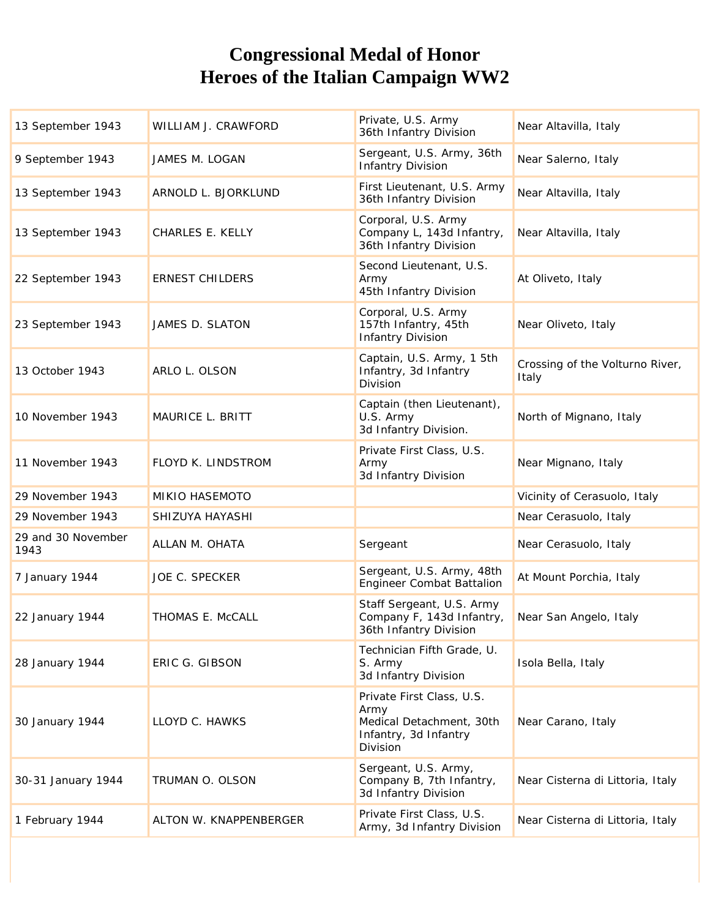## **Congressional Medal of Honor Heroes of the Italian Campaign WW2**

| 13 September 1943          | WILLIAM J. CRAWFORD    | Private, U.S. Army<br>36th Infantry Division                                                       | Near Altavilla, Italy                    |
|----------------------------|------------------------|----------------------------------------------------------------------------------------------------|------------------------------------------|
| 9 September 1943           | JAMES M. LOGAN         | Sergeant, U.S. Army, 36th<br><b>Infantry Division</b>                                              | Near Salerno, Italy                      |
| 13 September 1943          | ARNOLD L. BJORKLUND    | First Lieutenant, U.S. Army<br>36th Infantry Division                                              | Near Altavilla, Italy                    |
| 13 September 1943          | CHARLES E. KELLY       | Corporal, U.S. Army<br>Company L, 143d Infantry,<br>36th Infantry Division                         | Near Altavilla, Italy                    |
| 22 September 1943          | <b>ERNEST CHILDERS</b> | Second Lieutenant, U.S.<br>Army<br>45th Infantry Division                                          | At Oliveto, Italy                        |
| 23 September 1943          | JAMES D. SLATON        | Corporal, U.S. Army<br>157th Infantry, 45th<br><b>Infantry Division</b>                            | Near Oliveto, Italy                      |
| 13 October 1943            | ARLO L. OLSON          | Captain, U.S. Army, 15th<br>Infantry, 3d Infantry<br>Division                                      | Crossing of the Volturno River,<br>Italy |
| 10 November 1943           | MAURICE L. BRITT       | Captain (then Lieutenant),<br>U.S. Army<br>3d Infantry Division.                                   | North of Mignano, Italy                  |
| 11 November 1943           | FLOYD K. LINDSTROM     | Private First Class, U.S.<br>Army<br>3d Infantry Division                                          | Near Mignano, Italy                      |
| 29 November 1943           | MIKIO HASEMOTO         |                                                                                                    | Vicinity of Cerasuolo, Italy             |
| 29 November 1943           | SHIZUYA HAYASHI        |                                                                                                    | Near Cerasuolo, Italy                    |
| 29 and 30 November<br>1943 | ALLAN M. OHATA         | Sergeant                                                                                           | Near Cerasuolo, Italy                    |
| 7 January 1944             | <b>JOE C. SPECKER</b>  | Sergeant, U.S. Army, 48th<br><b>Engineer Combat Battalion</b>                                      | At Mount Porchia, Italy                  |
| 22 January 1944            | THOMAS E. McCALL       | Staff Sergeant, U.S. Army<br>Company F, 143d Infantry,<br>36th Infantry Division                   | Near San Angelo, Italy                   |
| 28 January 1944            | ERIC G. GIBSON         | Technician Fifth Grade, U.<br>S. Army<br>3d Infantry Division                                      | Isola Bella, Italy                       |
| 30 January 1944            | LLOYD C. HAWKS         | Private First Class, U.S.<br>Army<br>Medical Detachment, 30th<br>Infantry, 3d Infantry<br>Division | Near Carano, Italy                       |
| 30-31 January 1944         | TRUMAN O. OLSON        | Sergeant, U.S. Army,<br>Company B, 7th Infantry,<br>3d Infantry Division                           | Near Cisterna di Littoria, Italy         |
| 1 February 1944            | ALTON W. KNAPPENBERGER | Private First Class, U.S.<br>Army, 3d Infantry Division                                            | Near Cisterna di Littoria, Italy         |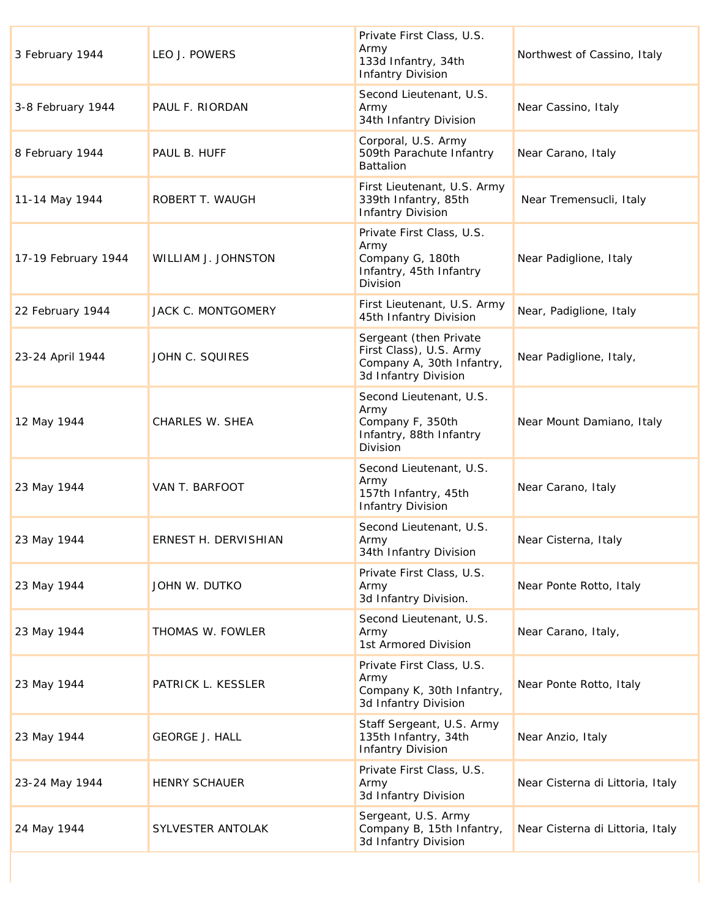| 3 February 1944     | LEO J. POWERS         | Private First Class, U.S.<br>Army<br>133d Infantry, 34th<br><b>Infantry Division</b>                   | Northwest of Cassino, Italy      |
|---------------------|-----------------------|--------------------------------------------------------------------------------------------------------|----------------------------------|
| 3-8 February 1944   | PAUL F. RIORDAN       | Second Lieutenant, U.S.<br>Army<br>34th Infantry Division                                              | Near Cassino, Italy              |
| 8 February 1944     | PAUL B. HUFF          | Corporal, U.S. Army<br>509th Parachute Infantry<br><b>Battalion</b>                                    | Near Carano, Italy               |
| 11-14 May 1944      | ROBERT T. WAUGH       | First Lieutenant, U.S. Army<br>339th Infantry, 85th<br><b>Infantry Division</b>                        | Near Tremensucli, Italy          |
| 17-19 February 1944 | WILLIAM J. JOHNSTON   | Private First Class, U.S.<br>Army<br>Company G, 180th<br>Infantry, 45th Infantry<br>Division           | Near Padiglione, Italy           |
| 22 February 1944    | JACK C. MONTGOMERY    | First Lieutenant, U.S. Army<br>45th Infantry Division                                                  | Near, Padiglione, Italy          |
| 23-24 April 1944    | JOHN C. SQUIRES       | Sergeant (then Private<br>First Class), U.S. Army<br>Company A, 30th Infantry,<br>3d Infantry Division | Near Padiglione, Italy,          |
| 12 May 1944         | CHARLES W. SHEA       | Second Lieutenant, U.S.<br>Army<br>Company F, 350th<br>Infantry, 88th Infantry<br>Division             | Near Mount Damiano, Italy        |
| 23 May 1944         | VAN T. BARFOOT        | Second Lieutenant, U.S.<br>Army<br>157th Infantry, 45th<br><b>Infantry Division</b>                    | Near Carano, Italy               |
| 23 May 1944         | ERNEST H. DERVISHIAN  | Second Lieutenant, U.S.<br>Army<br>34th Infantry Division                                              | Near Cisterna, Italy             |
| 23 May 1944         | JOHN W. DUTKO         | Private First Class, U.S.<br>Army<br>3d Infantry Division.                                             | Near Ponte Rotto, Italy          |
| 23 May 1944         | THOMAS W. FOWLER      | Second Lieutenant, U.S.<br>Army<br>1st Armored Division                                                | Near Carano, Italy,              |
| 23 May 1944         | PATRICK L. KESSLER    | Private First Class, U.S.<br>Army<br>Company K, 30th Infantry,<br>3d Infantry Division                 | Near Ponte Rotto, Italy          |
| 23 May 1944         | <b>GEORGE J. HALL</b> | Staff Sergeant, U.S. Army<br>135th Infantry, 34th<br><b>Infantry Division</b>                          | Near Anzio, Italy                |
| 23-24 May 1944      | <b>HENRY SCHAUER</b>  | Private First Class, U.S.<br>Army<br>3d Infantry Division                                              | Near Cisterna di Littoria, Italy |
| 24 May 1944         | SYLVESTER ANTOLAK     | Sergeant, U.S. Army<br>Company B, 15th Infantry,<br>3d Infantry Division                               | Near Cisterna di Littoria, Italy |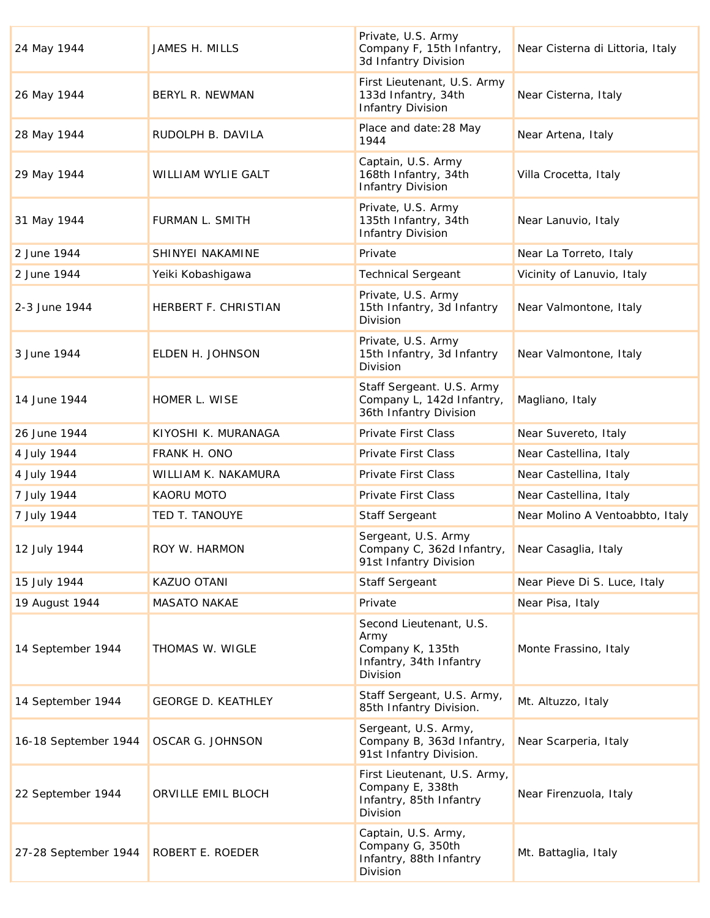| 24 May 1944          | JAMES H. MILLS            | Private, U.S. Army<br>Company F, 15th Infantry,<br>3d Infantry Division                    | Near Cisterna di Littoria, Italy |
|----------------------|---------------------------|--------------------------------------------------------------------------------------------|----------------------------------|
| 26 May 1944          | BERYL R. NEWMAN           | First Lieutenant, U.S. Army<br>133d Infantry, 34th<br><b>Infantry Division</b>             | Near Cisterna, Italy             |
| 28 May 1944          | RUDOLPH B. DAVILA         | Place and date: 28 May<br>1944                                                             | Near Artena, Italy               |
| 29 May 1944          | WILLIAM WYLIE GALT        | Captain, U.S. Army<br>168th Infantry, 34th<br><b>Infantry Division</b>                     | Villa Crocetta, Italy            |
| 31 May 1944          | FURMAN L. SMITH           | Private, U.S. Army<br>135th Infantry, 34th<br><b>Infantry Division</b>                     | Near Lanuvio, Italy              |
| 2 June 1944          | SHINYEI NAKAMINE          | Private                                                                                    | Near La Torreto, Italy           |
| 2 June 1944          | Yeiki Kobashigawa         | <b>Technical Sergeant</b>                                                                  | Vicinity of Lanuvio, Italy       |
| 2-3 June 1944        | HERBERT F. CHRISTIAN      | Private, U.S. Army<br>15th Infantry, 3d Infantry<br>Division                               | Near Valmontone, Italy           |
| 3 June 1944          | ELDEN H. JOHNSON          | Private, U.S. Army<br>15th Infantry, 3d Infantry<br><b>Division</b>                        | Near Valmontone, Italy           |
| 14 June 1944         | HOMER L. WISE             | Staff Sergeant. U.S. Army<br>Company L, 142d Infantry,<br>36th Infantry Division           | Magliano, Italy                  |
| 26 June 1944         | KIYOSHI K. MURANAGA       | Private First Class                                                                        | Near Suvereto, Italy             |
| 4 July 1944          | FRANK H. ONO              | Private First Class                                                                        | Near Castellina, Italy           |
| 4 July 1944          | WILLIAM K. NAKAMURA       | Private First Class                                                                        | Near Castellina, Italy           |
| 7 July 1944          | <b>KAORU MOTO</b>         | Private First Class                                                                        | Near Castellina, Italy           |
| 7 July 1944          | TED T. TANOUYE            | Staff Sergeant                                                                             | Near Molino A Ventoabbto, Italy  |
| 12 July 1944         | ROY W. HARMON             | Sergeant, U.S. Army<br>Company C, 362d Infantry,<br>91st Infantry Division                 | Near Casaglia, Italy             |
| 15 July 1944         | KAZUO OTANI               | <b>Staff Sergeant</b>                                                                      | Near Pieve Di S. Luce, Italy     |
| 19 August 1944       | <b>MASATO NAKAE</b>       | Private                                                                                    | Near Pisa, Italy                 |
| 14 September 1944    | THOMAS W. WIGLE           | Second Lieutenant, U.S.<br>Army<br>Company K, 135th<br>Infantry, 34th Infantry<br>Division | Monte Frassino, Italy            |
| 14 September 1944    | <b>GEORGE D. KEATHLEY</b> | Staff Sergeant, U.S. Army,<br>85th Infantry Division.                                      | Mt. Altuzzo, Italy               |
| 16-18 September 1944 | OSCAR G. JOHNSON          | Sergeant, U.S. Army,<br>Company B, 363d Infantry,<br>91st Infantry Division.               | Near Scarperia, Italy            |
| 22 September 1944    | ORVILLE EMIL BLOCH        | First Lieutenant, U.S. Army,<br>Company E, 338th<br>Infantry, 85th Infantry<br>Division    | Near Firenzuola, Italy           |
| 27-28 September 1944 | ROBERT E. ROEDER          | Captain, U.S. Army,<br>Company G, 350th<br>Infantry, 88th Infantry<br>Division             | Mt. Battaglia, Italy             |